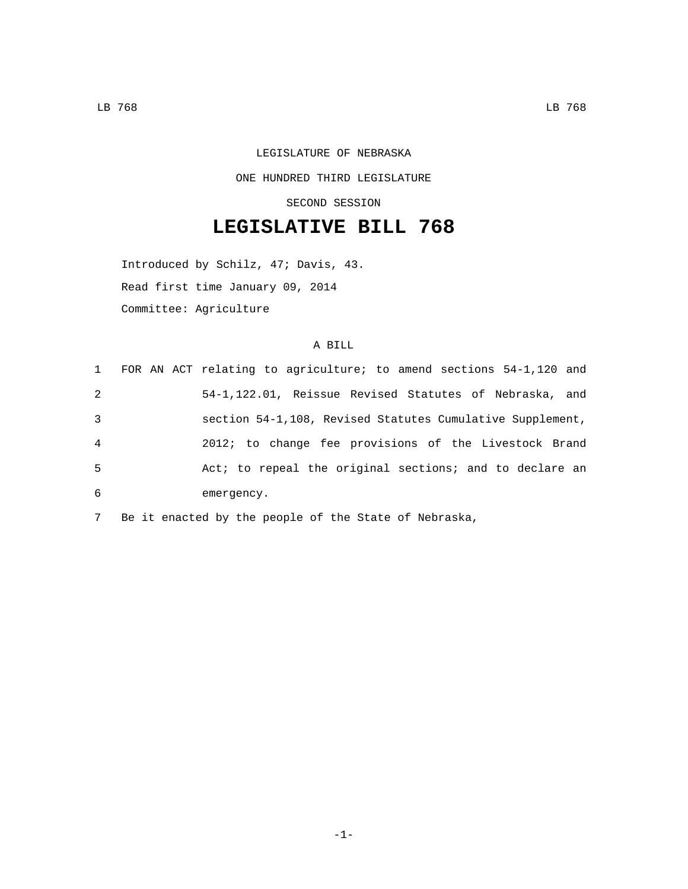## LEGISLATURE OF NEBRASKA ONE HUNDRED THIRD LEGISLATURE SECOND SESSION

## **LEGISLATIVE BILL 768**

Introduced by Schilz, 47; Davis, 43. Read first time January 09, 2014 Committee: Agriculture

## A BILL

|   | 1 FOR AN ACT relating to agriculture; to amend sections 54-1,120 and |
|---|----------------------------------------------------------------------|
| 2 | 54-1,122.01, Reissue Revised Statutes of Nebraska, and               |
| 3 | section 54-1,108, Revised Statutes Cumulative Supplement,            |
| 4 | 2012; to change fee provisions of the Livestock Brand                |
| 5 | Act; to repeal the original sections; and to declare an              |
| 6 | emergency.                                                           |

7 Be it enacted by the people of the State of Nebraska,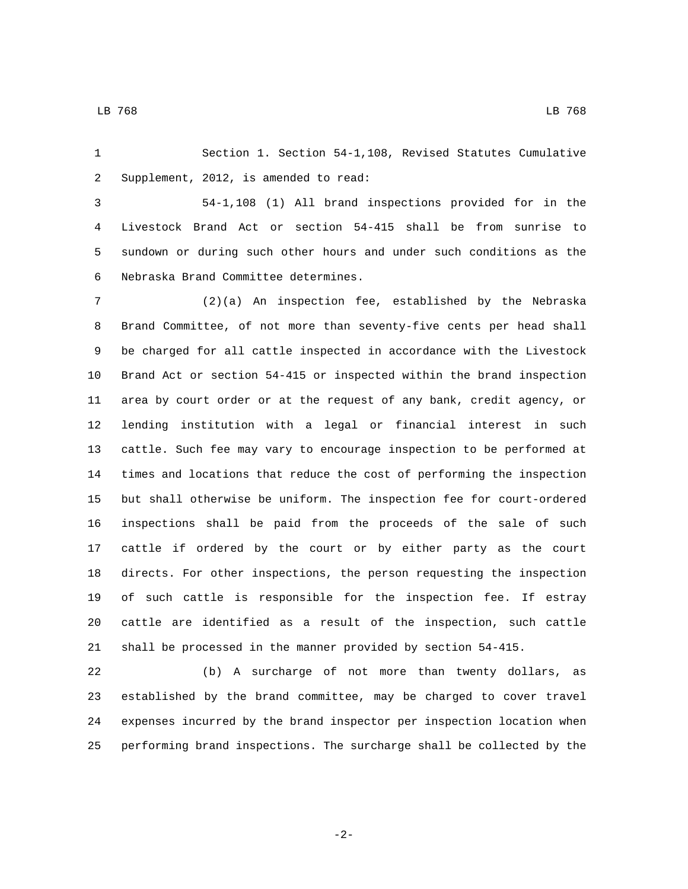Section 1. Section 54-1,108, Revised Statutes Cumulative 2 Supplement, 2012, is amended to read:

 54-1,108 (1) All brand inspections provided for in the Livestock Brand Act or section 54-415 shall be from sunrise to sundown or during such other hours and under such conditions as the Nebraska Brand Committee determines.6

 (2)(a) An inspection fee, established by the Nebraska Brand Committee, of not more than seventy-five cents per head shall be charged for all cattle inspected in accordance with the Livestock Brand Act or section 54-415 or inspected within the brand inspection area by court order or at the request of any bank, credit agency, or lending institution with a legal or financial interest in such cattle. Such fee may vary to encourage inspection to be performed at times and locations that reduce the cost of performing the inspection but shall otherwise be uniform. The inspection fee for court-ordered inspections shall be paid from the proceeds of the sale of such cattle if ordered by the court or by either party as the court directs. For other inspections, the person requesting the inspection of such cattle is responsible for the inspection fee. If estray cattle are identified as a result of the inspection, such cattle shall be processed in the manner provided by section 54-415.

 (b) A surcharge of not more than twenty dollars, as established by the brand committee, may be charged to cover travel expenses incurred by the brand inspector per inspection location when performing brand inspections. The surcharge shall be collected by the

-2-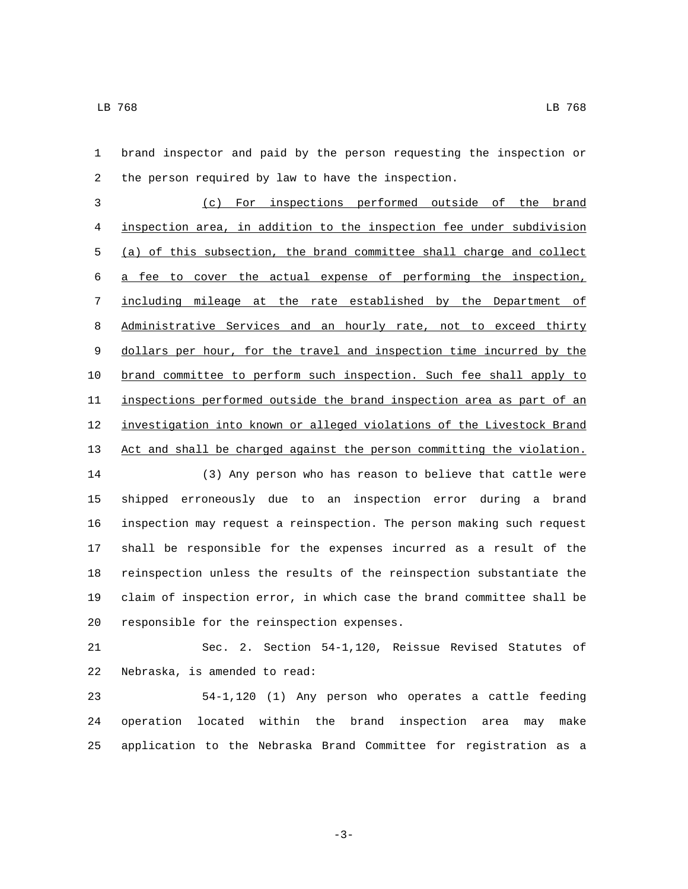brand inspector and paid by the person requesting the inspection or 2 the person required by law to have the inspection.

 (c) For inspections performed outside of the brand inspection area, in addition to the inspection fee under subdivision (a) of this subsection, the brand committee shall charge and collect a fee to cover the actual expense of performing the inspection, including mileage at the rate established by the Department of 8 Administrative Services and an hourly rate, not to exceed thirty dollars per hour, for the travel and inspection time incurred by the brand committee to perform such inspection. Such fee shall apply to inspections performed outside the brand inspection area as part of an investigation into known or alleged violations of the Livestock Brand Act and shall be charged against the person committing the violation.

 (3) Any person who has reason to believe that cattle were shipped erroneously due to an inspection error during a brand inspection may request a reinspection. The person making such request shall be responsible for the expenses incurred as a result of the reinspection unless the results of the reinspection substantiate the claim of inspection error, in which case the brand committee shall be 20 responsible for the reinspection expenses.

 Sec. 2. Section 54-1,120, Reissue Revised Statutes of 22 Nebraska, is amended to read:

 54-1,120 (1) Any person who operates a cattle feeding operation located within the brand inspection area may make application to the Nebraska Brand Committee for registration as a

-3-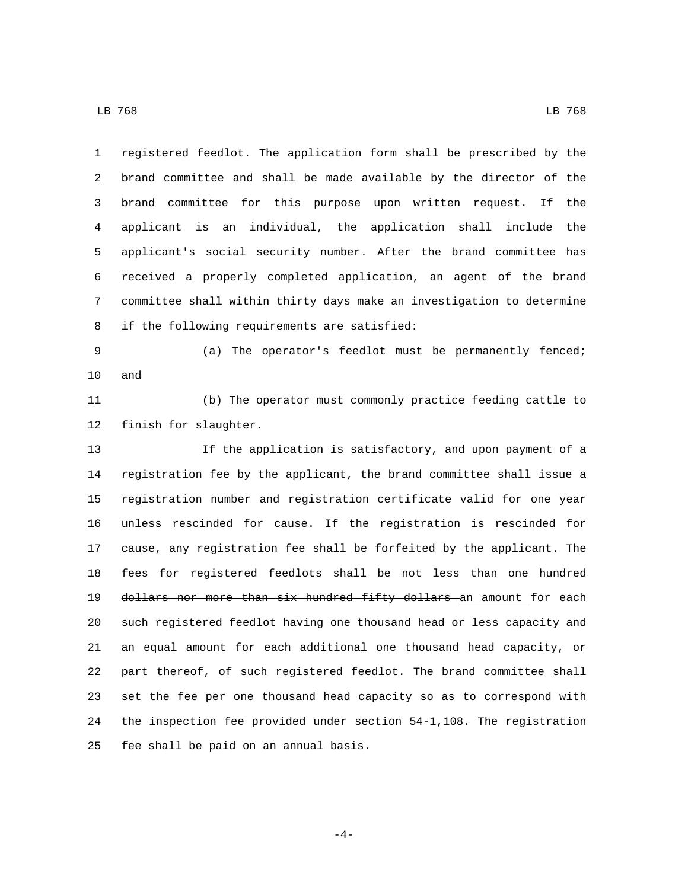registered feedlot. The application form shall be prescribed by the brand committee and shall be made available by the director of the brand committee for this purpose upon written request. If the applicant is an individual, the application shall include the applicant's social security number. After the brand committee has received a properly completed application, an agent of the brand committee shall within thirty days make an investigation to determine 8 if the following requirements are satisfied:

 (a) The operator's feedlot must be permanently fenced; 10 and

 (b) The operator must commonly practice feeding cattle to 12 finish for slaughter.

 If the application is satisfactory, and upon payment of a registration fee by the applicant, the brand committee shall issue a registration number and registration certificate valid for one year unless rescinded for cause. If the registration is rescinded for cause, any registration fee shall be forfeited by the applicant. The 18 fees for registered feedlots shall be not less than one hundred 19 dollars nor more than six hundred fifty dollars an amount for each such registered feedlot having one thousand head or less capacity and an equal amount for each additional one thousand head capacity, or part thereof, of such registered feedlot. The brand committee shall set the fee per one thousand head capacity so as to correspond with the inspection fee provided under section 54-1,108. The registration 25 fee shall be paid on an annual basis.

-4-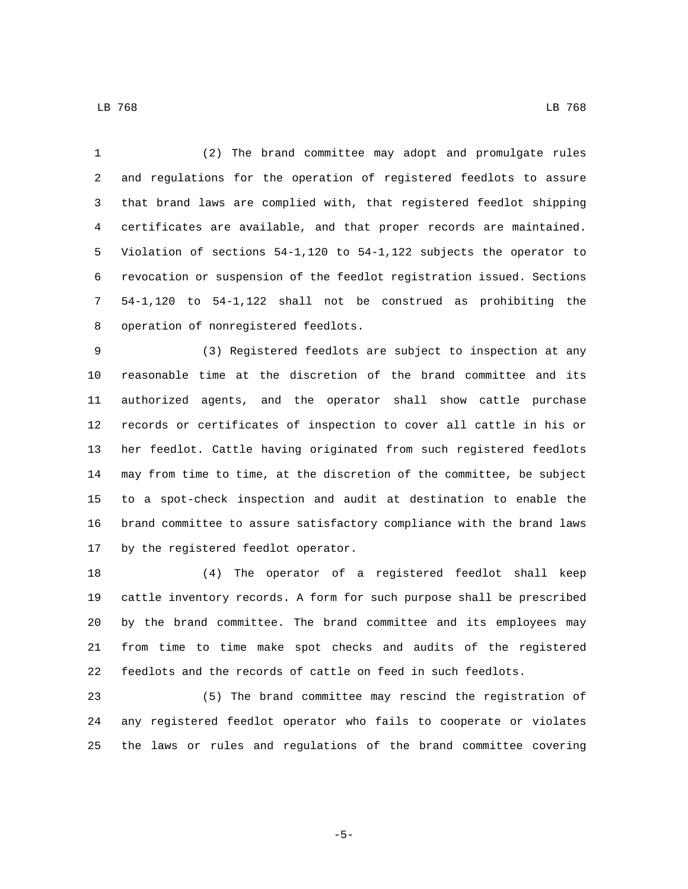(2) The brand committee may adopt and promulgate rules and regulations for the operation of registered feedlots to assure that brand laws are complied with, that registered feedlot shipping certificates are available, and that proper records are maintained. Violation of sections 54-1,120 to 54-1,122 subjects the operator to revocation or suspension of the feedlot registration issued. Sections 54-1,120 to 54-1,122 shall not be construed as prohibiting the 8 operation of nonregistered feedlots.

 (3) Registered feedlots are subject to inspection at any reasonable time at the discretion of the brand committee and its authorized agents, and the operator shall show cattle purchase records or certificates of inspection to cover all cattle in his or her feedlot. Cattle having originated from such registered feedlots may from time to time, at the discretion of the committee, be subject to a spot-check inspection and audit at destination to enable the brand committee to assure satisfactory compliance with the brand laws 17 by the registered feedlot operator.

 (4) The operator of a registered feedlot shall keep cattle inventory records. A form for such purpose shall be prescribed by the brand committee. The brand committee and its employees may from time to time make spot checks and audits of the registered feedlots and the records of cattle on feed in such feedlots.

 (5) The brand committee may rescind the registration of any registered feedlot operator who fails to cooperate or violates the laws or rules and regulations of the brand committee covering

LB 768 LB 768

-5-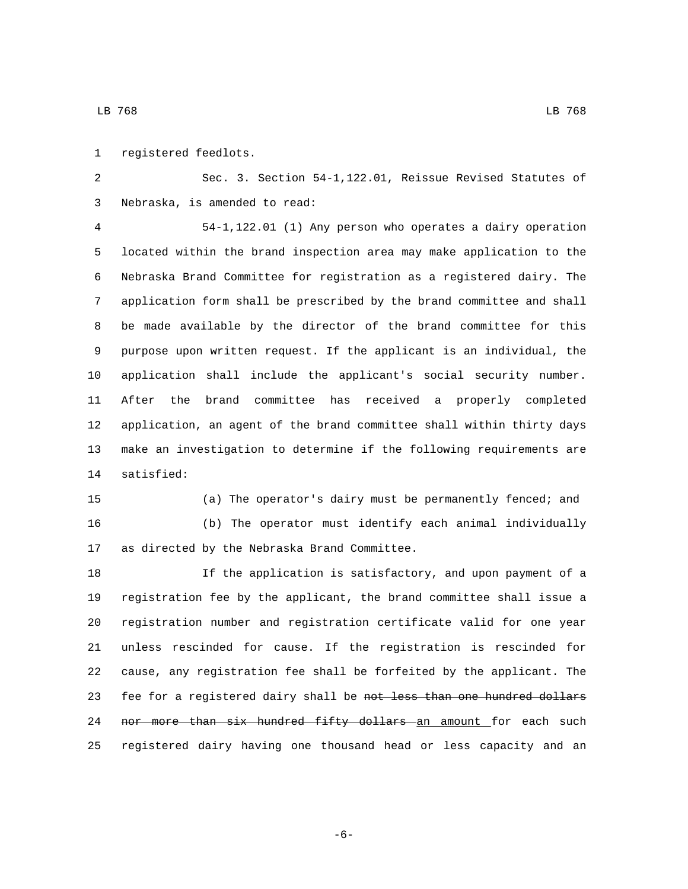1 registered feedlots.

 Sec. 3. Section 54-1,122.01, Reissue Revised Statutes of 3 Nebraska, is amended to read:

 54-1,122.01 (1) Any person who operates a dairy operation located within the brand inspection area may make application to the Nebraska Brand Committee for registration as a registered dairy. The application form shall be prescribed by the brand committee and shall be made available by the director of the brand committee for this purpose upon written request. If the applicant is an individual, the application shall include the applicant's social security number. After the brand committee has received a properly completed application, an agent of the brand committee shall within thirty days make an investigation to determine if the following requirements are 14 satisfied:

 (a) The operator's dairy must be permanently fenced; and (b) The operator must identify each animal individually 17 as directed by the Nebraska Brand Committee.

 If the application is satisfactory, and upon payment of a registration fee by the applicant, the brand committee shall issue a registration number and registration certificate valid for one year unless rescinded for cause. If the registration is rescinded for cause, any registration fee shall be forfeited by the applicant. The 23 fee for a registered dairy shall be not less than one hundred dollars 24 nor more than six hundred fifty dollars an amount for each such registered dairy having one thousand head or less capacity and an

-6-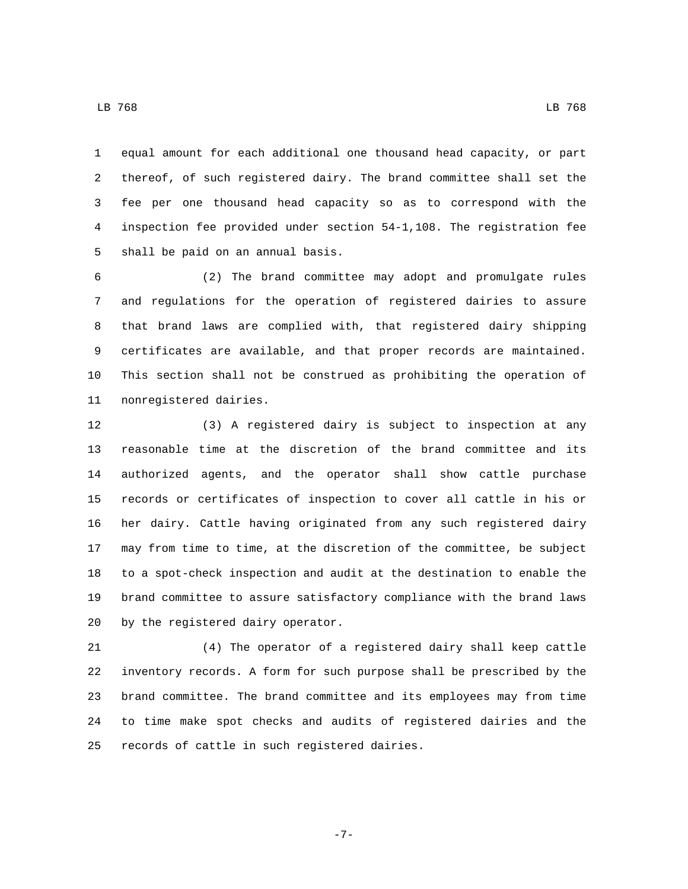equal amount for each additional one thousand head capacity, or part thereof, of such registered dairy. The brand committee shall set the fee per one thousand head capacity so as to correspond with the inspection fee provided under section 54-1,108. The registration fee 5 shall be paid on an annual basis.

 (2) The brand committee may adopt and promulgate rules and regulations for the operation of registered dairies to assure that brand laws are complied with, that registered dairy shipping certificates are available, and that proper records are maintained. This section shall not be construed as prohibiting the operation of 11 nonregistered dairies.

 (3) A registered dairy is subject to inspection at any reasonable time at the discretion of the brand committee and its authorized agents, and the operator shall show cattle purchase records or certificates of inspection to cover all cattle in his or her dairy. Cattle having originated from any such registered dairy may from time to time, at the discretion of the committee, be subject to a spot-check inspection and audit at the destination to enable the brand committee to assure satisfactory compliance with the brand laws 20 by the registered dairy operator.

 (4) The operator of a registered dairy shall keep cattle inventory records. A form for such purpose shall be prescribed by the brand committee. The brand committee and its employees may from time to time make spot checks and audits of registered dairies and the 25 records of cattle in such registered dairies.

LB 768 LB 768

-7-